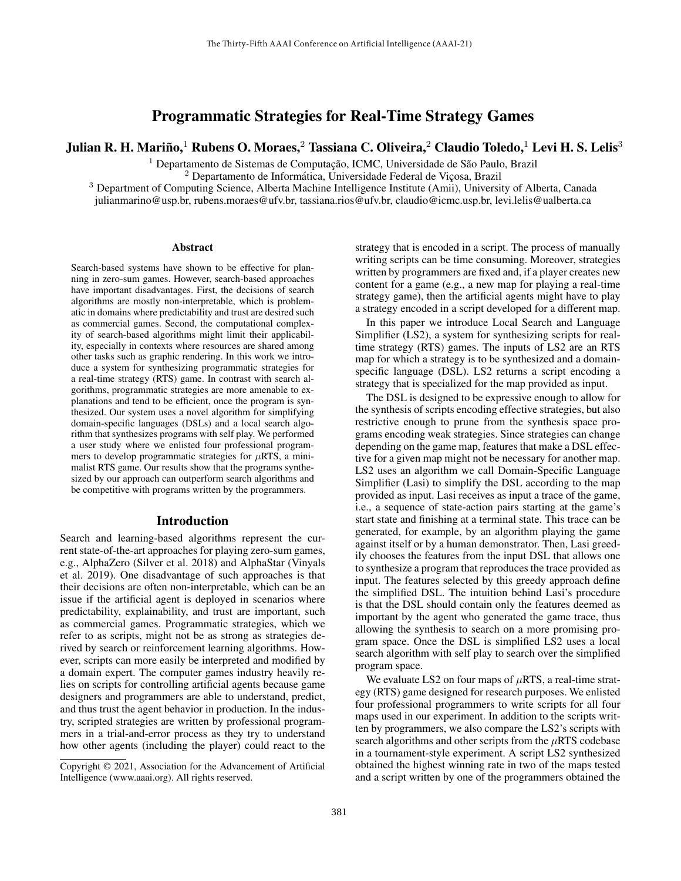# Programmatic Strategies for Real-Time Strategy Games

Julian R. H. Mariño, $^1$  Rubens O. Moraes, $^2$  Tassiana C. Oliveira, $^2$  Claudio Toledo, $^1$  Levi H. S. Lelis $^3$ 

 $1$  Departamento de Sistemas de Computação, ICMC, Universidade de São Paulo, Brazil

 $2$  Departamento de Informática, Universidade Federal de Viçosa, Brazil

<sup>3</sup> Department of Computing Science, Alberta Machine Intelligence Institute (Amii), University of Alberta, Canada

julianmarino@usp.br, rubens.moraes@ufv.br, tassiana.rios@ufv.br, claudio@icmc.usp.br, levi.lelis@ualberta.ca

#### Abstract

Search-based systems have shown to be effective for planning in zero-sum games. However, search-based approaches have important disadvantages. First, the decisions of search algorithms are mostly non-interpretable, which is problematic in domains where predictability and trust are desired such as commercial games. Second, the computational complexity of search-based algorithms might limit their applicability, especially in contexts where resources are shared among other tasks such as graphic rendering. In this work we introduce a system for synthesizing programmatic strategies for a real-time strategy (RTS) game. In contrast with search algorithms, programmatic strategies are more amenable to explanations and tend to be efficient, once the program is synthesized. Our system uses a novel algorithm for simplifying domain-specific languages (DSLs) and a local search algorithm that synthesizes programs with self play. We performed a user study where we enlisted four professional programmers to develop programmatic strategies for  $\mu$ RTS, a minimalist RTS game. Our results show that the programs synthesized by our approach can outperform search algorithms and be competitive with programs written by the programmers.

#### Introduction

Search and learning-based algorithms represent the current state-of-the-art approaches for playing zero-sum games, e.g., AlphaZero (Silver et al. 2018) and AlphaStar (Vinyals et al. 2019). One disadvantage of such approaches is that their decisions are often non-interpretable, which can be an issue if the artificial agent is deployed in scenarios where predictability, explainability, and trust are important, such as commercial games. Programmatic strategies, which we refer to as scripts, might not be as strong as strategies derived by search or reinforcement learning algorithms. However, scripts can more easily be interpreted and modified by a domain expert. The computer games industry heavily relies on scripts for controlling artificial agents because game designers and programmers are able to understand, predict, and thus trust the agent behavior in production. In the industry, scripted strategies are written by professional programmers in a trial-and-error process as they try to understand how other agents (including the player) could react to the

strategy that is encoded in a script. The process of manually writing scripts can be time consuming. Moreover, strategies written by programmers are fixed and, if a player creates new content for a game (e.g., a new map for playing a real-time strategy game), then the artificial agents might have to play a strategy encoded in a script developed for a different map.

In this paper we introduce Local Search and Language Simplifier (LS2), a system for synthesizing scripts for realtime strategy (RTS) games. The inputs of LS2 are an RTS map for which a strategy is to be synthesized and a domainspecific language (DSL). LS2 returns a script encoding a strategy that is specialized for the map provided as input.

The DSL is designed to be expressive enough to allow for the synthesis of scripts encoding effective strategies, but also restrictive enough to prune from the synthesis space programs encoding weak strategies. Since strategies can change depending on the game map, features that make a DSL effective for a given map might not be necessary for another map. LS2 uses an algorithm we call Domain-Specific Language Simplifier (Lasi) to simplify the DSL according to the map provided as input. Lasi receives as input a trace of the game, i.e., a sequence of state-action pairs starting at the game's start state and finishing at a terminal state. This trace can be generated, for example, by an algorithm playing the game against itself or by a human demonstrator. Then, Lasi greedily chooses the features from the input DSL that allows one to synthesize a program that reproduces the trace provided as input. The features selected by this greedy approach define the simplified DSL. The intuition behind Lasi's procedure is that the DSL should contain only the features deemed as important by the agent who generated the game trace, thus allowing the synthesis to search on a more promising program space. Once the DSL is simplified LS2 uses a local search algorithm with self play to search over the simplified program space.

We evaluate LS2 on four maps of  $\mu$ RTS, a real-time strategy (RTS) game designed for research purposes. We enlisted four professional programmers to write scripts for all four maps used in our experiment. In addition to the scripts written by programmers, we also compare the LS2's scripts with search algorithms and other scripts from the  $\mu$ RTS codebase in a tournament-style experiment. A script LS2 synthesized obtained the highest winning rate in two of the maps tested and a script written by one of the programmers obtained the

Copyright © 2021, Association for the Advancement of Artificial Intelligence (www.aaai.org). All rights reserved.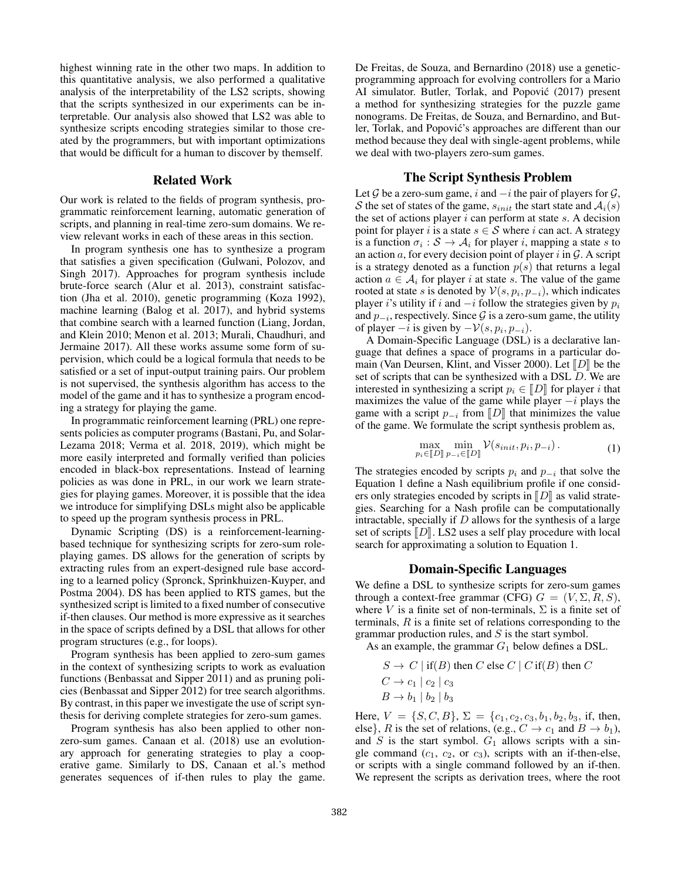highest winning rate in the other two maps. In addition to this quantitative analysis, we also performed a qualitative analysis of the interpretability of the LS2 scripts, showing that the scripts synthesized in our experiments can be interpretable. Our analysis also showed that LS2 was able to synthesize scripts encoding strategies similar to those created by the programmers, but with important optimizations that would be difficult for a human to discover by themself.

#### Related Work

Our work is related to the fields of program synthesis, programmatic reinforcement learning, automatic generation of scripts, and planning in real-time zero-sum domains. We review relevant works in each of these areas in this section.

In program synthesis one has to synthesize a program that satisfies a given specification (Gulwani, Polozov, and Singh 2017). Approaches for program synthesis include brute-force search (Alur et al. 2013), constraint satisfaction (Jha et al. 2010), genetic programming (Koza 1992), machine learning (Balog et al. 2017), and hybrid systems that combine search with a learned function (Liang, Jordan, and Klein 2010; Menon et al. 2013; Murali, Chaudhuri, and Jermaine 2017). All these works assume some form of supervision, which could be a logical formula that needs to be satisfied or a set of input-output training pairs. Our problem is not supervised, the synthesis algorithm has access to the model of the game and it has to synthesize a program encoding a strategy for playing the game.

In programmatic reinforcement learning (PRL) one represents policies as computer programs (Bastani, Pu, and Solar-Lezama 2018; Verma et al. 2018, 2019), which might be more easily interpreted and formally verified than policies encoded in black-box representations. Instead of learning policies as was done in PRL, in our work we learn strategies for playing games. Moreover, it is possible that the idea we introduce for simplifying DSLs might also be applicable to speed up the program synthesis process in PRL.

Dynamic Scripting (DS) is a reinforcement-learningbased technique for synthesizing scripts for zero-sum roleplaying games. DS allows for the generation of scripts by extracting rules from an expert-designed rule base according to a learned policy (Spronck, Sprinkhuizen-Kuyper, and Postma 2004). DS has been applied to RTS games, but the synthesized script is limited to a fixed number of consecutive if-then clauses. Our method is more expressive as it searches in the space of scripts defined by a DSL that allows for other program structures (e.g., for loops).

Program synthesis has been applied to zero-sum games in the context of synthesizing scripts to work as evaluation functions (Benbassat and Sipper 2011) and as pruning policies (Benbassat and Sipper 2012) for tree search algorithms. By contrast, in this paper we investigate the use of script synthesis for deriving complete strategies for zero-sum games.

Program synthesis has also been applied to other nonzero-sum games. Canaan et al. (2018) use an evolutionary approach for generating strategies to play a cooperative game. Similarly to DS, Canaan et al.'s method generates sequences of if-then rules to play the game.

De Freitas, de Souza, and Bernardino (2018) use a geneticprogramming approach for evolving controllers for a Mario AI simulator. Butler, Torlak, and Popović (2017) present a method for synthesizing strategies for the puzzle game nonograms. De Freitas, de Souza, and Bernardino, and Butler, Torlak, and Popovic's approaches are different than our ´ method because they deal with single-agent problems, while we deal with two-players zero-sum games.

## The Script Synthesis Problem

Let G be a zero-sum game, i and  $-i$  the pair of players for  $\mathcal{G}$ , S the set of states of the game,  $s_{init}$  the start state and  $A_i(s)$ the set of actions player  $i$  can perform at state  $s$ . A decision point for player i is a state  $s \in S$  where i can act. A strategy is a function  $\sigma_i : \mathcal{S} \to \mathcal{A}_i$  for player i, mapping a state s to an action  $a$ , for every decision point of player i in  $\mathcal G$ . A script is a strategy denoted as a function  $p(s)$  that returns a legal action  $a \in A_i$  for player i at state s. The value of the game rooted at state s is denoted by  $\mathcal{V}(s, p_i, p_{-i})$ , which indicates player i's utility if i and  $-i$  follow the strategies given by  $p_i$ and  $p_{-i}$ , respectively. Since  $\mathcal G$  is a zero-sum game, the utility of player  $-i$  is given by  $-\mathcal{V}(s, p_i, p_{-i})$ .

A Domain-Specific Language (DSL) is a declarative language that defines a space of programs in a particular domain (Van Deursen, Klint, and Visser 2000). Let  $\llbracket D \rrbracket$  be the set of scripts that can be synthesized with a DSL D. We are interested in synthesizing a script  $p_i \in \llbracket D \rrbracket$  for player i that maximizes the value of the game while player  $-i$  plays the game with a script  $p_{-i}$  from  $\|D\|$  that minimizes the value of the game. We formulate the script synthesis problem as,

$$
\max_{p_i \in [D]}\min_{p_{-i} \in [D]} \mathcal{V}(s_{init}, p_i, p_{-i}).
$$
\n(1)

The strategies encoded by scripts  $p_i$  and  $p_{-i}$  that solve the Equation 1 define a Nash equilibrium profile if one considers only strategies encoded by scripts in  $\llbracket D \rrbracket$  as valid strategies. Searching for a Nash profile can be computationally intractable, specially if  $D$  allows for the synthesis of a large set of scripts  $\llbracket D \rrbracket$ . LS2 uses a self play procedure with local search for approximating a solution to Equation 1.

## Domain-Specific Languages

We define a DSL to synthesize scripts for zero-sum games through a context-free grammar (CFG)  $G = (V, \Sigma, R, S)$ , where V is a finite set of non-terminals,  $\Sigma$  is a finite set of terminals,  $R$  is a finite set of relations corresponding to the grammar production rules, and  $S$  is the start symbol.

As an example, the grammar  $G_1$  below defines a DSL.

$$
S \to C | \text{ if } (B) \text{ then } C \text{ else } C | C \text{ if } (B) \text{ then } C
$$
  

$$
C \to c_1 | c_2 | c_3
$$
  

$$
B \to b_1 | b_2 | b_3
$$

Here,  $V = \{S, C, B\}, \Sigma = \{c_1, c_2, c_3, b_1, b_2, b_3, \text{ if, then,}\}$ else}, R is the set of relations, (e.g.,  $C \rightarrow c_1$  and  $B \rightarrow b_1$ ), and  $S$  is the start symbol.  $G_1$  allows scripts with a single command  $(c_1, c_2, \text{ or } c_3)$ , scripts with an if-then-else, or scripts with a single command followed by an if-then. We represent the scripts as derivation trees, where the root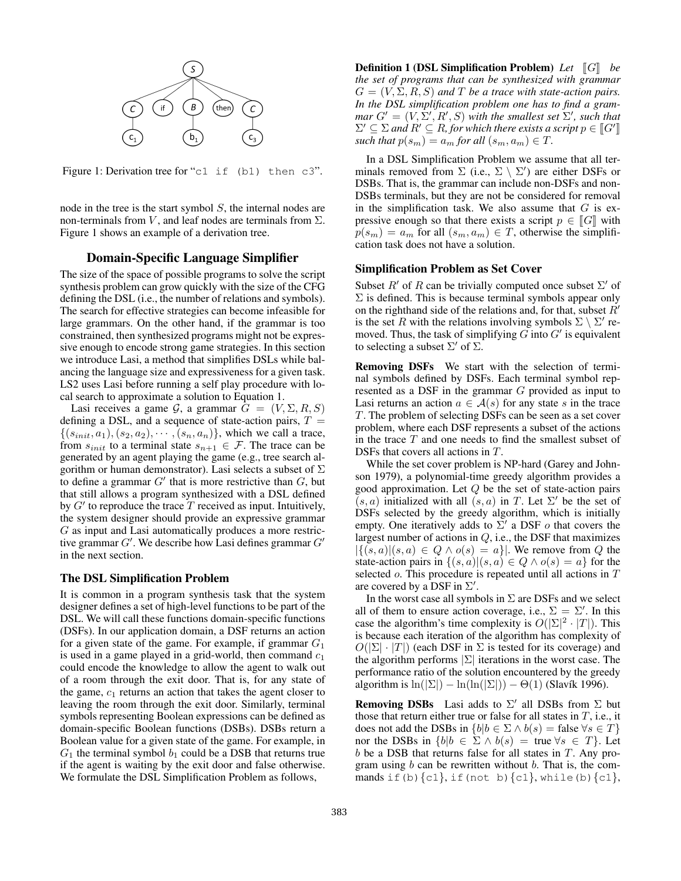

Figure 1: Derivation tree for "c1 if (b1) then c3".

node in the tree is the start symbol  $S$ , the internal nodes are non-terminals from V, and leaf nodes are terminals from  $\Sigma$ . Figure 1 shows an example of a derivation tree.

## Domain-Specific Language Simplifier

The size of the space of possible programs to solve the script synthesis problem can grow quickly with the size of the CFG defining the DSL (i.e., the number of relations and symbols). The search for effective strategies can become infeasible for large grammars. On the other hand, if the grammar is too constrained, then synthesized programs might not be expressive enough to encode strong game strategies. In this section we introduce Lasi, a method that simplifies DSLs while balancing the language size and expressiveness for a given task. LS2 uses Lasi before running a self play procedure with local search to approximate a solution to Equation 1.

Lasi receives a game  $\mathcal{G}$ , a grammar  $G = (V, \Sigma, R, S)$ defining a DSL, and a sequence of state-action pairs,  $T =$  $\{(s_{init}, a_1), (s_2, a_2), \cdots, (s_n, a_n)\}\$ , which we call a trace, from  $s_{init}$  to a terminal state  $s_{n+1} \in \mathcal{F}$ . The trace can be generated by an agent playing the game (e.g., tree search algorithm or human demonstrator). Lasi selects a subset of  $\Sigma$ to define a grammar  $G'$  that is more restrictive than  $G$ , but that still allows a program synthesized with a DSL defined by  $G'$  to reproduce the trace  $\overline{T}$  received as input. Intuitively, the system designer should provide an expressive grammar G as input and Lasi automatically produces a more restrictive grammar  $G'$ . We describe how Lasi defines grammar  $G'$ in the next section.

#### The DSL Simplification Problem

It is common in a program synthesis task that the system designer defines a set of high-level functions to be part of the DSL. We will call these functions domain-specific functions (DSFs). In our application domain, a DSF returns an action for a given state of the game. For example, if grammar  $G_1$ is used in a game played in a grid-world, then command  $c_1$ could encode the knowledge to allow the agent to walk out of a room through the exit door. That is, for any state of the game,  $c_1$  returns an action that takes the agent closer to leaving the room through the exit door. Similarly, terminal symbols representing Boolean expressions can be defined as domain-specific Boolean functions (DSBs). DSBs return a Boolean value for a given state of the game. For example, in  $G_1$  the terminal symbol  $b_1$  could be a DSB that returns true if the agent is waiting by the exit door and false otherwise. We formulate the DSL Simplification Problem as follows,

**Definition 1 (DSL Simplification Problem)** *Let*  $\llbracket G \rrbracket$  *be the set of programs that can be synthesized with grammar*  $G = (V, \Sigma, R, S)$  *and*  $T$  *be a trace with state-action pairs. In the DSL simplification problem one has to find a grammar*  $G' = (V, \Sigma', R', S)$  *with the smallest set*  $\Sigma'$ *, such that*  $\Sigma' \subseteq \Sigma$  and  $R' \subseteq R$ , for which there exists a script  $p \in [[G']]$ <br>such that  $p(s) = a$  for all  $(s - a) \in T$ *such that*  $p(s_m) = a_m$  *for all*  $(s_m, a_m) \in T$ .

In a DSL Simplification Problem we assume that all terminals removed from  $\Sigma$  (i.e.,  $\Sigma \setminus \Sigma'$ ) are either DSFs or DSBs. That is, the grammar can include non-DSFs and non-DSBs terminals, but they are not be considered for removal in the simplification task. We also assume that  $G$  is expressive enough so that there exists a script  $p \in \llbracket G \rrbracket$  with  $p(s_m) = a_m$  for all  $(s_m, a_m) \in T$ , otherwise the simplification task does not have a solution.

#### Simplification Problem as Set Cover

Subset  $R'$  of R can be trivially computed once subset  $\Sigma'$  of  $\Sigma$  is defined. This is because terminal symbols appear only on the righthand side of the relations and, for that, subset  $R'$ is the set R with the relations involving symbols  $\Sigma \setminus \Sigma'$  removed. Thus, the task of simplifying  $G$  into  $G'$  is equivalent to selecting a subset  $\Sigma'$  of  $\Sigma$ .

Removing DSFs We start with the selection of terminal symbols defined by DSFs. Each terminal symbol represented as a DSF in the grammar G provided as input to Lasi returns an action  $a \in \mathcal{A}(s)$  for any state s in the trace T. The problem of selecting DSFs can be seen as a set cover problem, where each DSF represents a subset of the actions in the trace  $T$  and one needs to find the smallest subset of DSFs that covers all actions in T.

While the set cover problem is NP-hard (Garey and Johnson 1979), a polynomial-time greedy algorithm provides a good approximation. Let  $Q$  be the set of state-action pairs  $(s, a)$  initialized with all  $(s, a)$  in T. Let  $\Sigma'$  be the set of DSFs selected by the greedy algorithm, which is initially empty. One iteratively adds to  $\Sigma'$  a DSF  $o$  that covers the largest number of actions in  $Q$ , i.e., the DSF that maximizes  $|\{(s,a)|(s,a) \in Q \wedge o(s) = a\}|$ . We remove from Q the state-action pairs in  $\{(s, a) | (s, a) \in Q \land o(s) = a\}$  for the selected *o*. This procedure is repeated until all actions in T are covered by a DSF in  $\Sigma'$ .

In the worst case all symbols in  $\Sigma$  are DSFs and we select all of them to ensure action coverage, i.e.,  $\Sigma = \Sigma'$ . In this case the algorithm's time complexity is  $O(|\Sigma|^2 \cdot |T|)$ . This is because each iteration of the algorithm has complexity of  $O(|\Sigma| \cdot |T|)$  (each DSF in  $\Sigma$  is tested for its coverage) and the algorithm performs  $|\Sigma|$  iterations in the worst case. The performance ratio of the solution encountered by the greedy algorithm is  $\ln(|\Sigma|) - \ln(\ln(|\Sigma|)) - \Theta(1)$  (Slavík 1996).

**Removing DSBs** Lasi adds to  $\Sigma'$  all DSBs from  $\Sigma$  but those that return either true or false for all states in  $T$ , i.e., it does not add the DSBs in  $\{b|b \in \Sigma \wedge b(s) = \text{false} \; \forall s \in T\}$ nor the DSBs in  ${b|b \in \Sigma \wedge b(s) = \text{true} \forall s \in T}$ . Let  $b$  be a DSB that returns false for all states in  $T$ . Any program using  $b$  can be rewritten without  $b$ . That is, the commands if (b)  $\{c1\}$ , if (not b)  $\{c1\}$ , while(b)  $\{c1\}$ ,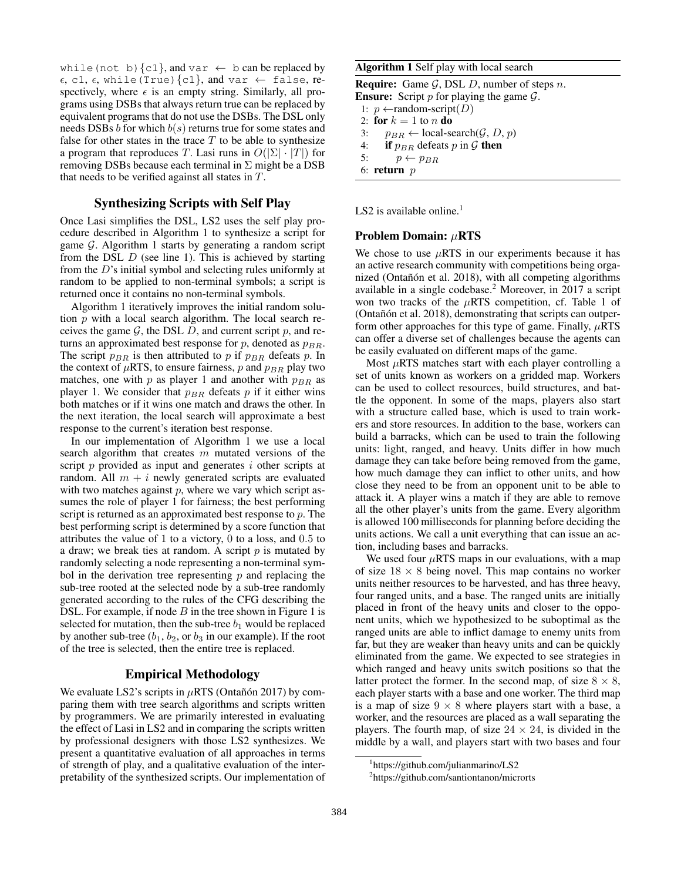while (not b)  $\{c1\}$ , and var  $\leftarrow$  b can be replaced by  $\epsilon$ , c1,  $\epsilon$ , while(True){c1}, and var  $\leftarrow$  false, respectively, where  $\epsilon$  is an empty string. Similarly, all programs using DSBs that always return true can be replaced by equivalent programs that do not use the DSBs. The DSL only needs DSBs  $b$  for which  $b(s)$  returns true for some states and false for other states in the trace  $T$  to be able to synthesize a program that reproduces T. Lasi runs in  $O(|\Sigma| \cdot |T|)$  for removing DSBs because each terminal in  $\Sigma$  might be a DSB that needs to be verified against all states in T.

## Synthesizing Scripts with Self Play

Once Lasi simplifies the DSL, LS2 uses the self play procedure described in Algorithm 1 to synthesize a script for game  $G$ . Algorithm 1 starts by generating a random script from the DSL  $D$  (see line 1). This is achieved by starting from the D's initial symbol and selecting rules uniformly at random to be applied to non-terminal symbols; a script is returned once it contains no non-terminal symbols.

Algorithm 1 iteratively improves the initial random solution  $p$  with a local search algorithm. The local search receives the game  $G$ , the DSL D, and current script  $p$ , and returns an approximated best response for p, denoted as  $p_{BR}$ . The script  $p_{BR}$  is then attributed to p if  $p_{BR}$  defeats p. In the context of  $\mu$ RTS, to ensure fairness, p and  $p_{BR}$  play two matches, one with  $p$  as player 1 and another with  $p_{BR}$  as player 1. We consider that  $p_{BR}$  defeats p if it either wins both matches or if it wins one match and draws the other. In the next iteration, the local search will approximate a best response to the current's iteration best response.

In our implementation of Algorithm 1 we use a local search algorithm that creates  $m$  mutated versions of the script  $p$  provided as input and generates  $i$  other scripts at random. All  $m + i$  newly generated scripts are evaluated with two matches against  $p$ , where we vary which script assumes the role of player 1 for fairness; the best performing script is returned as an approximated best response to  $p$ . The best performing script is determined by a score function that attributes the value of 1 to a victory, 0 to a loss, and 0.5 to a draw; we break ties at random. A script  $p$  is mutated by randomly selecting a node representing a non-terminal symbol in the derivation tree representing  $p$  and replacing the sub-tree rooted at the selected node by a sub-tree randomly generated according to the rules of the CFG describing the DSL. For example, if node  $B$  in the tree shown in Figure 1 is selected for mutation, then the sub-tree  $b_1$  would be replaced by another sub-tree  $(b_1, b_2, \text{or } b_3 \text{ in our example})$ . If the root of the tree is selected, then the entire tree is replaced.

#### Empirical Methodology

We evaluate LS2's scripts in  $\mu$ RTS (Ontañón 2017) by comparing them with tree search algorithms and scripts written by programmers. We are primarily interested in evaluating the effect of Lasi in LS2 and in comparing the scripts written by professional designers with those LS2 synthesizes. We present a quantitative evaluation of all approaches in terms of strength of play, and a qualitative evaluation of the interpretability of the synthesized scripts. Our implementation of

## Algorithm 1 Self play with local search

**Require:** Game  $\mathcal{G}$ , DSL  $D$ , number of steps  $n$ . **Ensure:** Script  $p$  for playing the game  $\mathcal{G}$ .

1:  $p \leftarrow$ random-script $(D)$ 

2: for  $k = 1$  to n do

- 3:  $p_{BR} \leftarrow \text{local-search}(\mathcal{G}, D, p)$ <br>4: **if**  $p_{BR}$  defeats p in G **then**
- 4: **if**  $p_{BR}$  defeats p in G **then**<br>5:  $p \leftarrow p_{BR}$
- $p \leftarrow p_{BR}$
- 6: return  $p$

LS2 is available online.<sup>1</sup>

#### Problem Domain: µRTS

We chose to use  $\mu$ RTS in our experiments because it has an active research community with competitions being organized (Ontañón et al. 2018), with all competing algorithms available in a single codebase.<sup>2</sup> Moreover, in 2017 a script won two tracks of the  $\mu$ RTS competition, cf. Table 1 of (Ontañón et al. 2018), demonstrating that scripts can outperform other approaches for this type of game. Finally,  $\mu$ RTS can offer a diverse set of challenges because the agents can be easily evaluated on different maps of the game.

Most  $\mu$ RTS matches start with each player controlling a set of units known as workers on a gridded map. Workers can be used to collect resources, build structures, and battle the opponent. In some of the maps, players also start with a structure called base, which is used to train workers and store resources. In addition to the base, workers can build a barracks, which can be used to train the following units: light, ranged, and heavy. Units differ in how much damage they can take before being removed from the game, how much damage they can inflict to other units, and how close they need to be from an opponent unit to be able to attack it. A player wins a match if they are able to remove all the other player's units from the game. Every algorithm is allowed 100 milliseconds for planning before deciding the units actions. We call a unit everything that can issue an action, including bases and barracks.

We used four  $\mu$ RTS maps in our evaluations, with a map of size  $18 \times 8$  being novel. This map contains no worker units neither resources to be harvested, and has three heavy, four ranged units, and a base. The ranged units are initially placed in front of the heavy units and closer to the opponent units, which we hypothesized to be suboptimal as the ranged units are able to inflict damage to enemy units from far, but they are weaker than heavy units and can be quickly eliminated from the game. We expected to see strategies in which ranged and heavy units switch positions so that the latter protect the former. In the second map, of size  $8 \times 8$ , each player starts with a base and one worker. The third map is a map of size  $9 \times 8$  where players start with a base, a worker, and the resources are placed as a wall separating the players. The fourth map, of size  $24 \times 24$ , is divided in the middle by a wall, and players start with two bases and four

<sup>1</sup> https://github.com/julianmarino/LS2

<sup>2</sup> https://github.com/santiontanon/microrts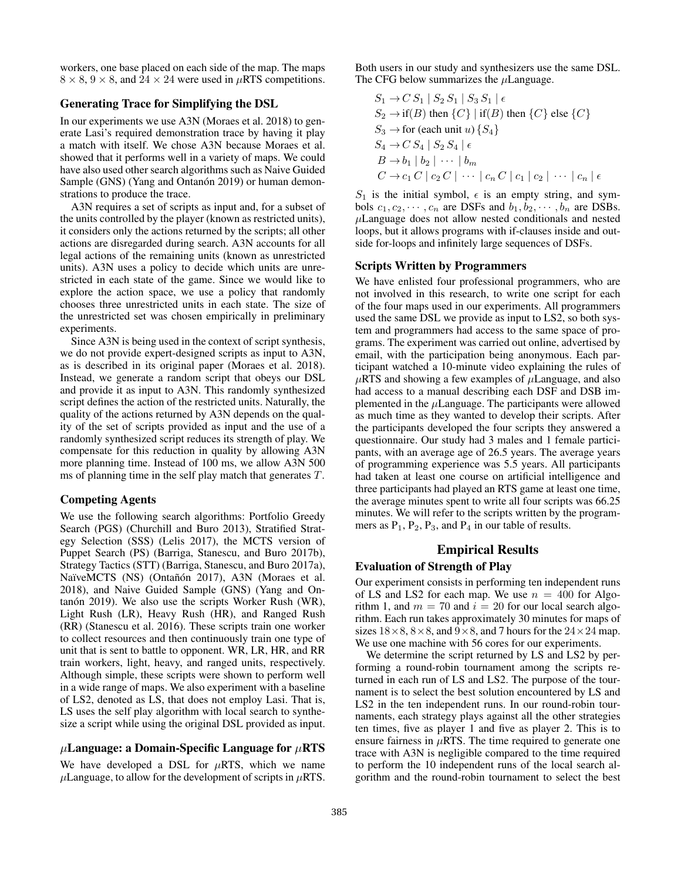workers, one base placed on each side of the map. The maps  $8 \times 8$ ,  $9 \times 8$ , and  $24 \times 24$  were used in  $\mu$ RTS competitions.

## Generating Trace for Simplifying the DSL

In our experiments we use A3N (Moraes et al. 2018) to generate Lasi's required demonstration trace by having it play a match with itself. We chose A3N because Moraes et al. showed that it performs well in a variety of maps. We could have also used other search algorithms such as Naive Guided Sample (GNS) (Yang and Ontanón 2019) or human demonstrations to produce the trace.

A3N requires a set of scripts as input and, for a subset of the units controlled by the player (known as restricted units), it considers only the actions returned by the scripts; all other actions are disregarded during search. A3N accounts for all legal actions of the remaining units (known as unrestricted units). A3N uses a policy to decide which units are unrestricted in each state of the game. Since we would like to explore the action space, we use a policy that randomly chooses three unrestricted units in each state. The size of the unrestricted set was chosen empirically in preliminary experiments.

Since A3N is being used in the context of script synthesis, we do not provide expert-designed scripts as input to A3N, as is described in its original paper (Moraes et al. 2018). Instead, we generate a random script that obeys our DSL and provide it as input to A3N. This randomly synthesized script defines the action of the restricted units. Naturally, the quality of the actions returned by A3N depends on the quality of the set of scripts provided as input and the use of a randomly synthesized script reduces its strength of play. We compensate for this reduction in quality by allowing A3N more planning time. Instead of 100 ms, we allow A3N 500 ms of planning time in the self play match that generates T.

## Competing Agents

We use the following search algorithms: Portfolio Greedy Search (PGS) (Churchill and Buro 2013), Stratified Strategy Selection (SSS) (Lelis 2017), the MCTS version of Puppet Search (PS) (Barriga, Stanescu, and Buro 2017b), Strategy Tactics (STT) (Barriga, Stanescu, and Buro 2017a), NaïveMCTS (NS) (Ontañón 2017), A3N (Moraes et al. 2018), and Naive Guided Sample (GNS) (Yang and On $tan \acute{o}n$  2019). We also use the scripts Worker Rush (WR), Light Rush (LR), Heavy Rush (HR), and Ranged Rush (RR) (Stanescu et al. 2016). These scripts train one worker to collect resources and then continuously train one type of unit that is sent to battle to opponent. WR, LR, HR, and RR train workers, light, heavy, and ranged units, respectively. Although simple, these scripts were shown to perform well in a wide range of maps. We also experiment with a baseline of LS2, denoted as LS, that does not employ Lasi. That is, LS uses the self play algorithm with local search to synthesize a script while using the original DSL provided as input.

## $\mu$ Language: a Domain-Specific Language for  $\mu$ RTS

We have developed a DSL for  $\mu$ RTS, which we name  $\mu$ Language, to allow for the development of scripts in  $\mu$ RTS. Both users in our study and synthesizers use the same DSL. The CFG below summarizes the  $\mu$ Language.

$$
S_1 \rightarrow C S_1 | S_2 S_1 | S_3 S_1 | \epsilon
$$
  
\n
$$
S_2 \rightarrow \text{if}(B) \text{ then } \{C\} | \text{if}(B) \text{ then } \{C\} \text{ else } \{C\}
$$
  
\n
$$
S_3 \rightarrow \text{for (each unit } u) \{S_4\}
$$
  
\n
$$
S_4 \rightarrow C S_4 | S_2 S_4 | \epsilon
$$
  
\n
$$
B \rightarrow b_1 | b_2 | \cdots | b_m
$$
  
\n
$$
C \rightarrow c_1 C | c_2 C | \cdots | c_n C | c_1 | c_2 | \cdots | c_n | \epsilon
$$

 $S_1$  is the initial symbol,  $\epsilon$  is an empty string, and symbols  $c_1, c_2, \dots, c_n$  are DSFs and  $b_1, b_2, \dots, b_n$  are DSBs.  $\mu$ Language does not allow nested conditionals and nested loops, but it allows programs with if-clauses inside and outside for-loops and infinitely large sequences of DSFs.

### Scripts Written by Programmers

We have enlisted four professional programmers, who are not involved in this research, to write one script for each of the four maps used in our experiments. All programmers used the same DSL we provide as input to LS2, so both system and programmers had access to the same space of programs. The experiment was carried out online, advertised by email, with the participation being anonymous. Each participant watched a 10-minute video explaining the rules of  $\mu$ RTS and showing a few examples of  $\mu$ Language, and also had access to a manual describing each DSF and DSB implemented in the  $\mu$ Language. The participants were allowed as much time as they wanted to develop their scripts. After the participants developed the four scripts they answered a questionnaire. Our study had 3 males and 1 female participants, with an average age of 26.5 years. The average years of programming experience was 5.5 years. All participants had taken at least one course on artificial intelligence and three participants had played an RTS game at least one time, the average minutes spent to write all four scripts was 66.25 minutes. We will refer to the scripts written by the programmers as  $P_1$ ,  $P_2$ ,  $P_3$ , and  $P_4$  in our table of results.

# Empirical Results

#### Evaluation of Strength of Play

Our experiment consists in performing ten independent runs of LS and LS2 for each map. We use  $n = 400$  for Algorithm 1, and  $m = 70$  and  $i = 20$  for our local search algorithm. Each run takes approximately 30 minutes for maps of sizes  $18 \times 8$ ,  $8 \times 8$ , and  $9 \times 8$ , and 7 hours for the  $24 \times 24$  map. We use one machine with 56 cores for our experiments.

We determine the script returned by LS and LS2 by performing a round-robin tournament among the scripts returned in each run of LS and LS2. The purpose of the tournament is to select the best solution encountered by LS and LS2 in the ten independent runs. In our round-robin tournaments, each strategy plays against all the other strategies ten times, five as player 1 and five as player 2. This is to ensure fairness in  $\mu$ RTS. The time required to generate one trace with A3N is negligible compared to the time required to perform the 10 independent runs of the local search algorithm and the round-robin tournament to select the best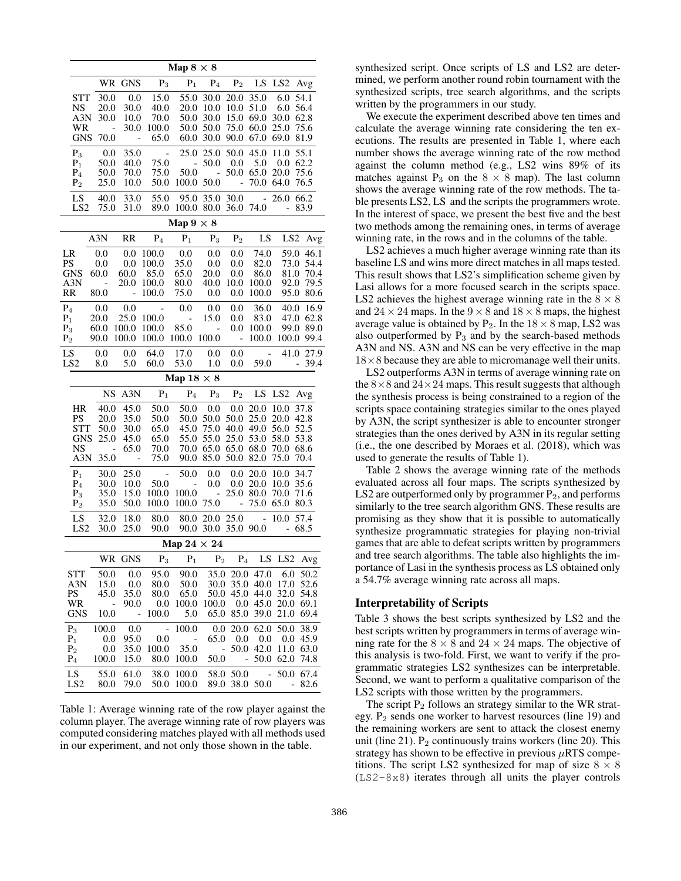|                                                                                               | Map $8 \times 8$        |                          |                          |                          |                |                    |                                 |                          |                        |                              |                |              |  |  |
|-----------------------------------------------------------------------------------------------|-------------------------|--------------------------|--------------------------|--------------------------|----------------|--------------------|---------------------------------|--------------------------|------------------------|------------------------------|----------------|--------------|--|--|
|                                                                                               |                         |                          |                          | WR GNS                   | $P_3$          | $\mathbf{P}_1$     | $P_4$                           | $\mathrm{P}_2$           | LS                     | LS <sub>2</sub>              |                | Avg          |  |  |
|                                                                                               | STT                     | 30.0                     |                          | 0.0                      | 15.0           | 55.0               | 30.0                            | 20.0                     | 35.0                   | 6.0                          |                | 54.1         |  |  |
|                                                                                               | NS<br>A3N               | 20.0<br>30.0             |                          | 30.0<br>10.0             | 40.0<br>70.0   | 20.0<br>50.0       | 10.0<br>30.0                    | 10.0<br>15.0             | 51.0<br>69.0           | 6.0<br>30.0                  |                | 56.4<br>62.8 |  |  |
|                                                                                               | WR                      |                          | $\overline{\phantom{0}}$ | 30.0                     | 100.0          | 50.0               | 50.0                            | 75.0                     | 60.0                   | 25.0                         |                | 75.6         |  |  |
|                                                                                               | <b>GNS</b>              | 70.0                     |                          | $\overline{\phantom{0}}$ | 65.0           | 60.0               | 30.0                            | 90.0                     | 67.0                   | 69.0                         |                | 81.9         |  |  |
|                                                                                               | $P_3$                   |                          | 0.0                      | 35.0                     | ÷              | 25.0               | 25.0                            | 50.0                     | 45.0                   | 11.0                         |                | 55.1         |  |  |
|                                                                                               | $P_1$                   | 50.0                     |                          | 40.0                     | 75.0           | $\frac{1}{2}$      | 50.0                            | 0.0                      | 5.0                    | 0.0                          |                | 62.2         |  |  |
|                                                                                               | $P_4$<br>P <sub>2</sub> | 50.0<br>25.0             |                          | 70.0<br>10.0             | 75.0<br>50.0   | 50.0<br>100.0      | $\overline{a}$<br>50.0          | 50.0<br>$\overline{a}$   | 65.0<br>70.0           | 20.0<br>64.0                 |                | 75.6<br>76.5 |  |  |
|                                                                                               |                         |                          |                          |                          |                |                    |                                 |                          |                        |                              |                |              |  |  |
|                                                                                               | LS<br>LS <sub>2</sub>   | 40.0<br>75.0             |                          | 33.0<br>31.0             | 55.0<br>89.0   | 95.0<br>100.0      | 35.0<br>80.0                    | 30.0<br>36.0             | $\overline{a}$<br>74.0 | 26.0<br>$\qquad \qquad \Box$ |                | 66.2<br>83.9 |  |  |
| Map $9 \times 8$                                                                              |                         |                          |                          |                          |                |                    |                                 |                          |                        |                              |                |              |  |  |
| A3N<br><b>RR</b><br>$P_4$<br>$P_1$<br>$\mathbf{P}_2$<br>LS<br>LS <sub>2</sub><br>$P_3$<br>Avg |                         |                          |                          |                          |                |                    |                                 |                          |                        |                              |                |              |  |  |
| LR                                                                                            |                         | 0.0                      |                          | 0.0                      | 100.0          | 0.0                | 0.0                             | 0.0                      | 74.0                   | 59.0                         |                | 46.1         |  |  |
| PS                                                                                            |                         | 0.0                      |                          | 0.0                      | 100.0          | 35.0               | 0.0                             | 0.0                      | 82.0                   | 73.0                         |                | 54.4         |  |  |
|                                                                                               | <b>GNS</b>              | 60.0                     |                          | 60.0                     | 85.0           | 65.0               | 20.0                            | 0.0                      | 86.0                   | 81.0                         |                | 70.4         |  |  |
| A3N                                                                                           |                         | $\overline{\phantom{0}}$ |                          | 20.0                     | 100.0          | 80.0               | 40.0                            | 10.0                     | 100.0                  | 92.0                         |                | 79.5         |  |  |
| <b>RR</b>                                                                                     |                         | 80.0                     |                          | ÷,                       | 100.0          | 75.0               | 0.0                             | 0.0                      | 100.0                  | 95.0                         |                | 80.6         |  |  |
| $P_4$                                                                                         |                         | 0.0                      |                          | 0.0                      | -              | 0.0                | 0.0                             | 0.0                      | 36.0                   | 40.0                         |                | 16.9         |  |  |
| $P_1$<br>$P_3$                                                                                |                         | 20.0<br>60.0             |                          | 25.0<br>100.0            | 100.0<br>100.0 | -<br>85.0          | 15.0<br>$\qquad \qquad -$       | 0.0<br>0.0               | 83.0<br>100.0          | 47.0<br>99.0                 |                | 62.8<br>89.0 |  |  |
| P <sub>2</sub>                                                                                |                         | 90.0                     |                          | 100.0                    | 100.0          | 100.0              | 100.0                           | $\overline{\phantom{a}}$ | 100.0                  | 100.0                        |                | 99.4         |  |  |
| LS                                                                                            |                         | 0.0                      |                          | 0.0                      | 64.0           | 17.0               | 0.0                             | 0.0                      | $\blacksquare$         | 41.0                         |                | 27.9         |  |  |
|                                                                                               | LS <sub>2</sub>         | 8.0                      |                          | 5.0                      | 60.0           | 53.0               | 1.0                             | $0.0\,$                  | 59.0                   |                              | $\blacksquare$ | 39.4         |  |  |
| Map $18 \times 8$                                                                             |                         |                          |                          |                          |                |                    |                                 |                          |                        |                              |                |              |  |  |
|                                                                                               |                         | <b>NS</b>                |                          | A3N                      | ${\bf P}_1$    | $\mathbf{P}_4$     | $P_3$                           | P <sub>2</sub>           | LS                     | LS <sub>2</sub>              |                | Avg          |  |  |
|                                                                                               | HR                      | 40.0                     |                          | 45.0                     | 50.0           | 50.0               | 0.0                             | 0.0                      | 20.0                   | 10.0                         |                | 37.8         |  |  |
|                                                                                               | PS                      | 20.0                     |                          | 35.0                     | 50.0           | 50.0               | 50.0                            | 50.0                     | 25.0                   | 20.0                         |                | 42.8         |  |  |
|                                                                                               | STT                     | 50.0                     |                          | 30.0                     | 65.0           | 45.0               | 75.0                            | 40.0                     | 49.0                   | 56.0                         |                | 52.5         |  |  |
|                                                                                               | <b>GNS</b><br>NS        | 25.0                     | $\overline{\phantom{0}}$ | 45.0<br>65.0             | 65.0<br>70.0   | 55.0<br>70.0       | 55.0<br>65.0                    | 25.0<br>65.0             | 53.0<br>68.0           | 58.0<br>70.0                 |                | 53.8<br>68.6 |  |  |
|                                                                                               | A3N                     | 35.0                     |                          | $\overline{a}$           | 75.0           | 90.0               | 85.0                            | 50.0                     | 82.0                   | 75.0                         |                | 70.4         |  |  |
|                                                                                               | $P_1$                   | 30.0                     |                          | 25.0                     | $\overline{a}$ | 50.0               | 0.0                             | 0.0                      | 20.0                   | 10.0                         |                | 34.7         |  |  |
|                                                                                               | $P_4$                   | 30.0                     |                          | 10.0                     | 50.0           |                    | 0.0                             | $0.0\,$                  | 20.0                   | 10.0                         |                | 35.6         |  |  |
|                                                                                               | $P_3$                   | 35.0                     |                          | 15.0                     | 100.0          | 100.0              | $\overline{a}$                  | 25.0                     | 80.0                   | 70.0                         |                | 71.6         |  |  |
|                                                                                               | P <sub>2</sub>          | 35.0                     |                          | 50.0                     | 100.0          | 100.0              | 75.0                            | $\overline{a}$           | 75.0                   | 65.0                         |                | 80.3         |  |  |
|                                                                                               | LS<br>LS <sub>2</sub>   | 32.0<br>30.0             |                          | 18.0<br>25.0             | 80.0<br>90.0   | 80.0<br>90.0       | 20.0<br>30.0                    | 25.0<br>35.0             | $\overline{a}$<br>90.0 | 10.0<br>$\blacksquare$       |                | 57.4<br>68.5 |  |  |
|                                                                                               |                         |                          |                          |                          |                | Map $24 \times 24$ |                                 |                          |                        |                              |                |              |  |  |
|                                                                                               |                         | WR                       |                          | <b>GNS</b>               | $\mathrm{P}_3$ |                    | $\mathbf{P}_1$ – $\mathbf{P}_2$ | $\mathbf{P}_4$           |                        | LS LS2                       |                | Avg          |  |  |
|                                                                                               | <b>STT</b>              | 50.0                     |                          | 0.0                      | 95.0           | 90.0               | 35.0                            | 20.0                     | 47.0                   | 6.0                          |                | 50.2         |  |  |
|                                                                                               | A3N                     | 15.0                     |                          | 0.0                      | 80.0           | 50.0               | 30.0                            | 35.0                     | 40.0                   | 17.0                         |                | 52.6         |  |  |
|                                                                                               | PS                      | 45.0                     |                          | 35.0                     | 80.0           | 65.0               | 50.0                            | 45.0                     | 44.0                   | 32.0                         |                | 54.8         |  |  |
|                                                                                               | WR<br>GNS               | 10.0                     | -                        | 90.0<br>-                | 0.0<br>100.0   | 100.0<br>5.0       | 100.0<br>65.0                   | 0.0<br>85.0              | 45.0<br>39.0           | 20.0<br>21.0                 |                | 69.1<br>69.4 |  |  |
|                                                                                               | $P_3$                   | 100.0                    |                          | 0.0                      | -              | 100.0              | 0.0                             | 20.0                     | 62.0                   | 50.0                         |                | 38.9         |  |  |
|                                                                                               | $P_1$                   | 0.0                      |                          | 95.0                     | 0.0            | -                  | 65.0                            | 0.0                      | 0.0                    | 0.0                          |                | 45.9         |  |  |
|                                                                                               | P <sub>2</sub>          | 0.0                      |                          | 35.0                     | 100.0          | 35.0               |                                 | 50.0<br>-                | 42.0                   | 11.0                         |                | 63.0         |  |  |
|                                                                                               | $P_4$                   | 100.0                    |                          | 15.0                     | 80.0           | 100.0              | 50.0                            |                          | 50.0<br>$\overline{a}$ | 62.0                         |                | 74.8         |  |  |
|                                                                                               | LS                      | 55.0                     |                          | 61.0                     | 38.0           | 100.0              | 58.0                            | 50.0                     | -                      | 50.0                         |                | 67.4         |  |  |
|                                                                                               | LS <sub>2</sub>         | 80.0                     |                          | 79.0                     | 50.0           | 100.0              | 89.0                            | 38.0                     | 50.0                   |                              |                | 82.6         |  |  |

Table 1: Average winning rate of the row player against the column player. The average winning rate of row players was computed considering matches played with all methods used in our experiment, and not only those shown in the table.

synthesized script. Once scripts of LS and LS2 are determined, we perform another round robin tournament with the synthesized scripts, tree search algorithms, and the scripts written by the programmers in our study.

We execute the experiment described above ten times and calculate the average winning rate considering the ten executions. The results are presented in Table 1, where each number shows the average winning rate of the row method against the column method (e.g., LS2 wins 89% of its matches against  $P_3$  on the  $8 \times 8$  map). The last column shows the average winning rate of the row methods. The table presents LS2, LS and the scripts the programmers wrote. In the interest of space, we present the best five and the best two methods among the remaining ones, in terms of average winning rate, in the rows and in the columns of the table.

LS2 achieves a much higher average winning rate than its baseline LS and wins more direct matches in all maps tested. This result shows that LS2's simplification scheme given by Lasi allows for a more focused search in the scripts space. LS2 achieves the highest average winning rate in the  $8 \times 8$ and  $24 \times 24$  maps. In the  $9 \times 8$  and  $18 \times 8$  maps, the highest average value is obtained by  $P_2$ . In the  $18 \times 8$  map, LS2 was also outperformed by  $P_3$  and by the search-based methods A3N and NS. A3N and NS can be very effective in the map  $18\times8$  because they are able to micromanage well their units.

LS2 outperforms A3N in terms of average winning rate on the  $8 \times 8$  and  $24 \times 24$  maps. This result suggests that although the synthesis process is being constrained to a region of the scripts space containing strategies similar to the ones played by A3N, the script synthesizer is able to encounter stronger strategies than the ones derived by A3N in its regular setting (i.e., the one described by Moraes et al. (2018), which was used to generate the results of Table 1).

Table 2 shows the average winning rate of the methods evaluated across all four maps. The scripts synthesized by LS2 are outperformed only by programmer  $P_2$ , and performs similarly to the tree search algorithm GNS. These results are promising as they show that it is possible to automatically synthesize programmatic strategies for playing non-trivial games that are able to defeat scripts written by programmers and tree search algorithms. The table also highlights the importance of Lasi in the synthesis process as LS obtained only a 54.7% average winning rate across all maps.

## Interpretability of Scripts

Table 3 shows the best scripts synthesized by LS2 and the best scripts written by programmers in terms of average winning rate for the  $8 \times 8$  and  $24 \times 24$  maps. The objective of this analysis is two-fold. First, we want to verify if the programmatic strategies LS2 synthesizes can be interpretable. Second, we want to perform a qualitative comparison of the LS2 scripts with those written by the programmers.

The script  $P_2$  follows an strategy similar to the WR strategy.  $P_2$  sends one worker to harvest resources (line 19) and the remaining workers are sent to attack the closest enemy unit (line 21).  $P_2$  continuously trains workers (line 20). This strategy has shown to be effective in previous  $\mu$ RTS competitions. The script LS2 synthesized for map of size  $8 \times 8$ (LS2-8x8) iterates through all units the player controls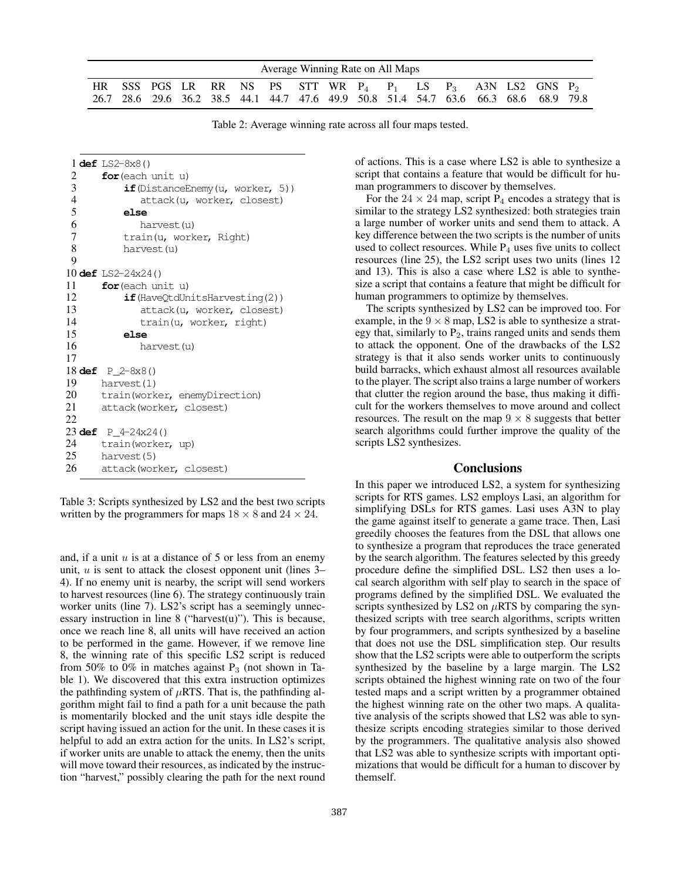| Average Winning Rate on All Maps                                                                                                                             |  |  |  |  |  |  |  |  |  |  |  |  |  |  |  |
|--------------------------------------------------------------------------------------------------------------------------------------------------------------|--|--|--|--|--|--|--|--|--|--|--|--|--|--|--|
| HR SSS PGS LR RR NS PS STT WR $P_4$ $P_1$ LS $P_3$ A3N LS2 GNS $P_2$<br>26.7 28.6 29.6 36.2 38.5 44.1 44.7 47.6 49.9 50.8 51.4 54.7 63.6 66.3 68.6 68.9 79.8 |  |  |  |  |  |  |  |  |  |  |  |  |  |  |  |

Table 2: Average winning rate across all four maps tested.

 **def** LS2-8x8() **for**(each unit u) **if**(DistanceEnemy(u, worker, 5)) attack(u, worker, closest)  $\frac{5}{6}$  **else** harvest(u) 7 train(u, worker, Right) harvest(u) 9 **def** LS2-24x24() **for**(each unit u) **if**(HaveQtdUnitsHarvesting(2)) attack(u, worker, closest) train(u, worker, right) 15 **else** harvest(u) 17 **def** P\_2-8x8() harvest(1) 20 train(worker, enemyDirection) attack(worker, closest) 22 **def** P\_4-24x24() train(worker, up) harvest(5) attack(worker, closest)

Table 3: Scripts synthesized by LS2 and the best two scripts written by the programmers for maps  $18 \times 8$  and  $24 \times 24$ .

and, if a unit  $u$  is at a distance of 5 or less from an enemy unit,  $u$  is sent to attack the closest opponent unit (lines 3– 4). If no enemy unit is nearby, the script will send workers to harvest resources (line 6). The strategy continuously train worker units (line 7). LS2's script has a seemingly unnecessary instruction in line 8 ("harvest $(u)$ "). This is because, once we reach line 8, all units will have received an action to be performed in the game. However, if we remove line 8, the winning rate of this specific LS2 script is reduced from 50% to 0% in matches against  $P_3$  (not shown in Table 1). We discovered that this extra instruction optimizes the pathfinding system of  $\mu$ RTS. That is, the pathfinding algorithm might fail to find a path for a unit because the path is momentarily blocked and the unit stays idle despite the script having issued an action for the unit. In these cases it is helpful to add an extra action for the units. In LS2's script, if worker units are unable to attack the enemy, then the units will move toward their resources, as indicated by the instruction "harvest," possibly clearing the path for the next round

of actions. This is a case where LS2 is able to synthesize a script that contains a feature that would be difficult for human programmers to discover by themselves.

For the  $24 \times 24$  map, script P<sub>4</sub> encodes a strategy that is similar to the strategy LS2 synthesized: both strategies train a large number of worker units and send them to attack. A key difference between the two scripts is the number of units used to collect resources. While  $P_4$  uses five units to collect resources (line 25), the LS2 script uses two units (lines 12 and 13). This is also a case where LS2 is able to synthesize a script that contains a feature that might be difficult for human programmers to optimize by themselves.

The scripts synthesized by LS2 can be improved too. For example, in the  $9 \times 8$  map, LS2 is able to synthesize a strategy that, similarly to  $P_2$ , trains ranged units and sends them to attack the opponent. One of the drawbacks of the LS2 strategy is that it also sends worker units to continuously build barracks, which exhaust almost all resources available to the player. The script also trains a large number of workers that clutter the region around the base, thus making it difficult for the workers themselves to move around and collect resources. The result on the map  $9 \times 8$  suggests that better search algorithms could further improve the quality of the scripts LS2 synthesizes.

#### Conclusions

In this paper we introduced LS2, a system for synthesizing scripts for RTS games. LS2 employs Lasi, an algorithm for simplifying DSLs for RTS games. Lasi uses A3N to play the game against itself to generate a game trace. Then, Lasi greedily chooses the features from the DSL that allows one to synthesize a program that reproduces the trace generated by the search algorithm. The features selected by this greedy procedure define the simplified DSL. LS2 then uses a local search algorithm with self play to search in the space of programs defined by the simplified DSL. We evaluated the scripts synthesized by LS2 on  $\mu$ RTS by comparing the synthesized scripts with tree search algorithms, scripts written by four programmers, and scripts synthesized by a baseline that does not use the DSL simplification step. Our results show that the LS2 scripts were able to outperform the scripts synthesized by the baseline by a large margin. The LS2 scripts obtained the highest winning rate on two of the four tested maps and a script written by a programmer obtained the highest winning rate on the other two maps. A qualitative analysis of the scripts showed that LS2 was able to synthesize scripts encoding strategies similar to those derived by the programmers. The qualitative analysis also showed that LS2 was able to synthesize scripts with important optimizations that would be difficult for a human to discover by themself.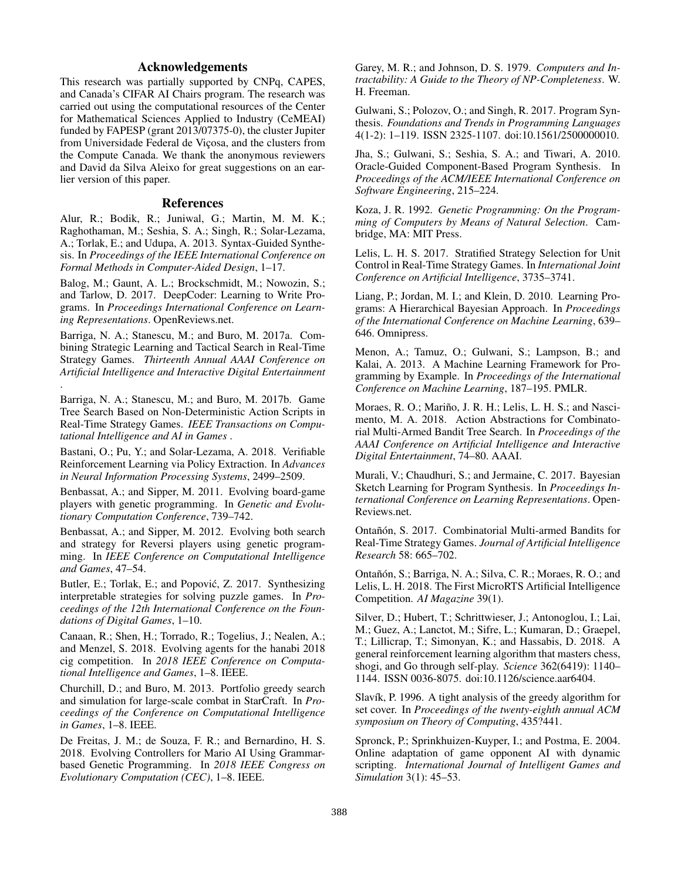## Acknowledgements

This research was partially supported by CNPq, CAPES, and Canada's CIFAR AI Chairs program. The research was carried out using the computational resources of the Center for Mathematical Sciences Applied to Industry (CeMEAI) funded by FAPESP (grant 2013/07375-0), the cluster Jupiter from Universidade Federal de Viçosa, and the clusters from the Compute Canada. We thank the anonymous reviewers and David da Silva Aleixo for great suggestions on an earlier version of this paper.

## References

Alur, R.; Bodik, R.; Juniwal, G.; Martin, M. M. K.; Raghothaman, M.; Seshia, S. A.; Singh, R.; Solar-Lezama, A.; Torlak, E.; and Udupa, A. 2013. Syntax-Guided Synthesis. In *Proceedings of the IEEE International Conference on Formal Methods in Computer-Aided Design*, 1–17.

Balog, M.; Gaunt, A. L.; Brockschmidt, M.; Nowozin, S.; and Tarlow, D. 2017. DeepCoder: Learning to Write Programs. In *Proceedings International Conference on Learning Representations*. OpenReviews.net.

Barriga, N. A.; Stanescu, M.; and Buro, M. 2017a. Combining Strategic Learning and Tactical Search in Real-Time Strategy Games. *Thirteenth Annual AAAI Conference on Artificial Intelligence and Interactive Digital Entertainment* .

Barriga, N. A.; Stanescu, M.; and Buro, M. 2017b. Game Tree Search Based on Non-Deterministic Action Scripts in Real-Time Strategy Games. *IEEE Transactions on Computational Intelligence and AI in Games* .

Bastani, O.; Pu, Y.; and Solar-Lezama, A. 2018. Verifiable Reinforcement Learning via Policy Extraction. In *Advances in Neural Information Processing Systems*, 2499–2509.

Benbassat, A.; and Sipper, M. 2011. Evolving board-game players with genetic programming. In *Genetic and Evolutionary Computation Conference*, 739–742.

Benbassat, A.; and Sipper, M. 2012. Evolving both search and strategy for Reversi players using genetic programming. In *IEEE Conference on Computational Intelligence and Games*, 47–54.

Butler, E.; Torlak, E.; and Popović, Z. 2017. Synthesizing interpretable strategies for solving puzzle games. In *Proceedings of the 12th International Conference on the Foundations of Digital Games*, 1–10.

Canaan, R.; Shen, H.; Torrado, R.; Togelius, J.; Nealen, A.; and Menzel, S. 2018. Evolving agents for the hanabi 2018 cig competition. In *2018 IEEE Conference on Computational Intelligence and Games*, 1–8. IEEE.

Churchill, D.; and Buro, M. 2013. Portfolio greedy search and simulation for large-scale combat in StarCraft. In *Proceedings of the Conference on Computational Intelligence in Games*, 1–8. IEEE.

De Freitas, J. M.; de Souza, F. R.; and Bernardino, H. S. 2018. Evolving Controllers for Mario AI Using Grammarbased Genetic Programming. In *2018 IEEE Congress on Evolutionary Computation (CEC)*, 1–8. IEEE.

Garey, M. R.; and Johnson, D. S. 1979. *Computers and Intractability: A Guide to the Theory of NP-Completeness*. W. H. Freeman.

Gulwani, S.; Polozov, O.; and Singh, R. 2017. Program Synthesis. *Foundations and Trends in Programming Languages* 4(1-2): 1–119. ISSN 2325-1107. doi:10.1561/2500000010.

Jha, S.; Gulwani, S.; Seshia, S. A.; and Tiwari, A. 2010. Oracle-Guided Component-Based Program Synthesis. In *Proceedings of the ACM/IEEE International Conference on Software Engineering*, 215–224.

Koza, J. R. 1992. *Genetic Programming: On the Programming of Computers by Means of Natural Selection*. Cambridge, MA: MIT Press.

Lelis, L. H. S. 2017. Stratified Strategy Selection for Unit Control in Real-Time Strategy Games. In *International Joint Conference on Artificial Intelligence*, 3735–3741.

Liang, P.; Jordan, M. I.; and Klein, D. 2010. Learning Programs: A Hierarchical Bayesian Approach. In *Proceedings of the International Conference on Machine Learning*, 639– 646. Omnipress.

Menon, A.; Tamuz, O.; Gulwani, S.; Lampson, B.; and Kalai, A. 2013. A Machine Learning Framework for Programming by Example. In *Proceedings of the International Conference on Machine Learning*, 187–195. PMLR.

Moraes, R. O.; Mariño, J. R. H.; Lelis, L. H. S.; and Nascimento, M. A. 2018. Action Abstractions for Combinatorial Multi-Armed Bandit Tree Search. In *Proceedings of the AAAI Conference on Artificial Intelligence and Interactive Digital Entertainment*, 74–80. AAAI.

Murali, V.; Chaudhuri, S.; and Jermaine, C. 2017. Bayesian Sketch Learning for Program Synthesis. In *Proceedings International Conference on Learning Representations*. Open-Reviews.net.

Ontañón, S. 2017. Combinatorial Multi-armed Bandits for Real-Time Strategy Games. *Journal of Artificial Intelligence Research* 58: 665–702.

Ontañón, S.; Barriga, N. A.; Silva, C. R.; Moraes, R. O.; and Lelis, L. H. 2018. The First MicroRTS Artificial Intelligence Competition. *AI Magazine* 39(1).

Silver, D.; Hubert, T.; Schrittwieser, J.; Antonoglou, I.; Lai, M.; Guez, A.; Lanctot, M.; Sifre, L.; Kumaran, D.; Graepel, T.; Lillicrap, T.; Simonyan, K.; and Hassabis, D. 2018. A general reinforcement learning algorithm that masters chess, shogi, and Go through self-play. *Science* 362(6419): 1140– 1144. ISSN 0036-8075. doi:10.1126/science.aar6404.

Slavík, P. 1996. A tight analysis of the greedy algorithm for set cover. In *Proceedings of the twenty-eighth annual ACM symposium on Theory of Computing*, 435?441.

Spronck, P.; Sprinkhuizen-Kuyper, I.; and Postma, E. 2004. Online adaptation of game opponent AI with dynamic scripting. *International Journal of Intelligent Games and Simulation* 3(1): 45–53.